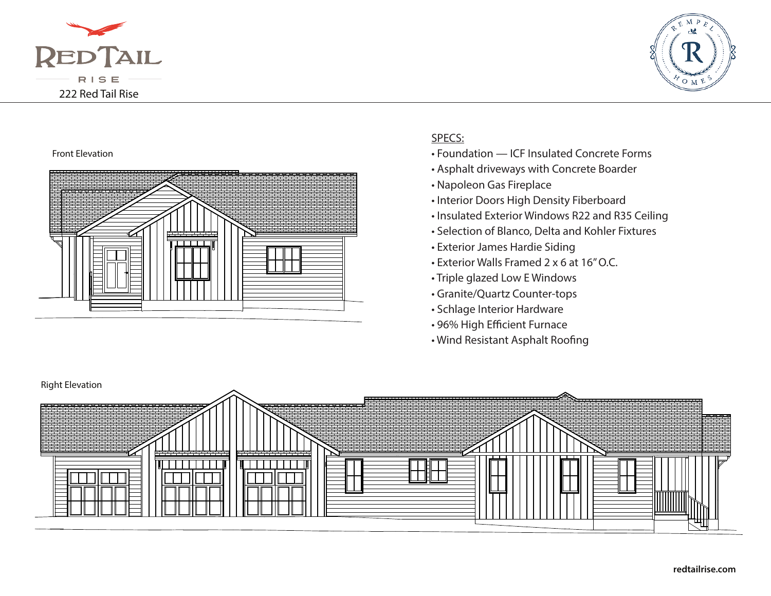



## Front Elevation



## SPECS:

- Foundation ICF Insulated Concrete Forms
- Asphalt driveways with Concrete Boarder
- Napoleon Gas Fireplace
- Interior Doors High Density Fiberboard
- Insulated Exterior Windows R22 and R35 Ceiling
- Selection of Blanco, Delta and Kohler Fixtures
- Exterior James Hardie Siding
- Exterior Walls Framed 2 x 6 at 16" O.C.
- Triple glazed Low E Windows
- Granite/Quartz Counter-tops
- Schlage Interior Hardware
- 96% High Efficient Furnace
- Wind Resistant Asphalt Roofing